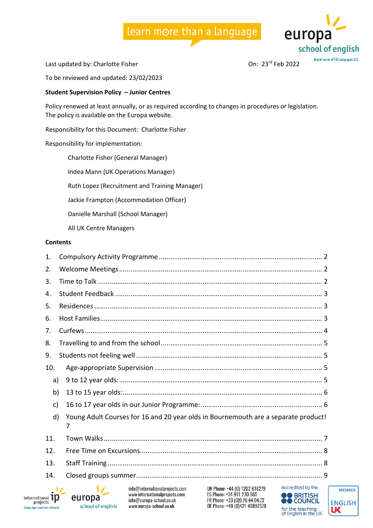

Last updated by: Charlotte Fisher Charlotte Assessment Charlotte Fisher On: 23<sup>rd</sup> Feb 2022

To be reviewed and updated: 23/02/2023

#### **Student Supervision Policy – Junior Centres**

Policy renewed at least annually, or as required according to changes in procedures or legislation. The policy is available on the Europa website.

Responsibility for this Document: Charlotte Fisher

Responsibility for implementation:

Charlotte Fisher (General Manager)

Indea Mann (UK Operations Manager)

Ruth Lopez (Recruitment and Training Manager)

Jackie Frampton (Accommodation Officer)

Danielle Marshall (School Manager)

All UK Centre Managers

#### **Contents**

| 1.          |                                                                                                                                                                                                                                                                      |  |  |  |  |  |  |
|-------------|----------------------------------------------------------------------------------------------------------------------------------------------------------------------------------------------------------------------------------------------------------------------|--|--|--|--|--|--|
| 2.          |                                                                                                                                                                                                                                                                      |  |  |  |  |  |  |
| 3.          |                                                                                                                                                                                                                                                                      |  |  |  |  |  |  |
| 4.          |                                                                                                                                                                                                                                                                      |  |  |  |  |  |  |
| 5.          |                                                                                                                                                                                                                                                                      |  |  |  |  |  |  |
| 6.          |                                                                                                                                                                                                                                                                      |  |  |  |  |  |  |
| 7.          |                                                                                                                                                                                                                                                                      |  |  |  |  |  |  |
| 8.          |                                                                                                                                                                                                                                                                      |  |  |  |  |  |  |
| 9.          |                                                                                                                                                                                                                                                                      |  |  |  |  |  |  |
| 10.         |                                                                                                                                                                                                                                                                      |  |  |  |  |  |  |
| a)          |                                                                                                                                                                                                                                                                      |  |  |  |  |  |  |
| b)          |                                                                                                                                                                                                                                                                      |  |  |  |  |  |  |
| c)          |                                                                                                                                                                                                                                                                      |  |  |  |  |  |  |
| d)          | Young Adult Courses for 16 and 20 year olds in Bournemouth are a separate product!<br>7                                                                                                                                                                              |  |  |  |  |  |  |
| 11.         |                                                                                                                                                                                                                                                                      |  |  |  |  |  |  |
| 12.         |                                                                                                                                                                                                                                                                      |  |  |  |  |  |  |
| 13.         |                                                                                                                                                                                                                                                                      |  |  |  |  |  |  |
| 14.         |                                                                                                                                                                                                                                                                      |  |  |  |  |  |  |
| $n$ al $1D$ | Accredited by the<br>info@internationalprojects.com<br>UK Phone: +44 (0) 1202 618279<br>ES Phone: +34 911 230 565<br>www.internationalprojects.com<br><b>OO</b> BRITISH<br>europa<br>info@eurona-school.co.uk<br>FR Phone: +33 (0)9 70 44 04 72<br><b>A COLINCIL</b> |  |  |  |  |  |  |



info@europa-school.co.uk www.europa-school.co.uk

school of english

FR Phone: +33 (0)9.70.44.04.72 DE Phone: +49 (0)421 40897578



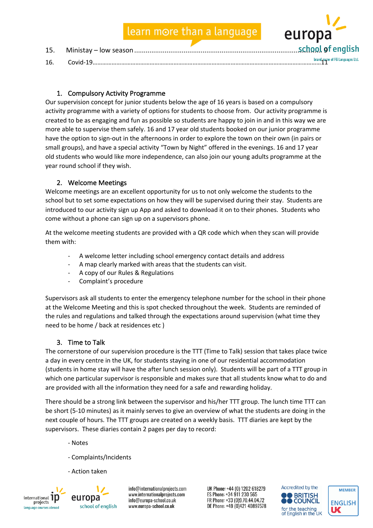| 16. | brand name of FG Languages Ltd. |
|-----|---------------------------------|

## 1. Compulsory Activity Programme

Our supervision concept for junior students below the age of 16 years is based on a compulsory activity programme with a variety of options for students to choose from. Our activity programme is created to be as engaging and fun as possible so students are happy to join in and in this way we are more able to supervise them safely. 16 and 17 year old students booked on our junior programme have the option to sign-out in the afternoons in order to explore the town on their own (in pairs or small groups), and have a special activity "Town by Night" offered in the evenings. 16 and 17 year old students who would like more independence, can also join our young adults programme at the year round school if they wish.

### 2. Welcome Meetings

Welcome meetings are an excellent opportunity for us to not only welcome the students to the school but to set some expectations on how they will be supervised during their stay. Students are introduced to our activity sign up App and asked to download it on to their phones. Students who come without a phone can sign up on a supervisors phone.

At the welcome meeting students are provided with a QR code which when they scan will provide them with:

- A welcome letter including school emergency contact details and address
- A map clearly marked with areas that the students can visit.
- A copy of our Rules & Regulations
- Complaint's procedure

Supervisors ask all students to enter the emergency telephone number for the school in their phone at the Welcome Meeting and this is spot checked throughout the week. Students are reminded of the rules and regulations and talked through the expectations around supervision (what time they need to be home / back at residences etc )

### 3. Time to Talk

The cornerstone of our supervision procedure is the TTT (Time to Talk) session that takes place twice a day in every centre in the UK, for students staying in one of our residential accommodation (students in home stay will have the after lunch session only). Students will be part of a TTT group in which one particular supervisor is responsible and makes sure that all students know what to do and are provided with all the information they need for a safe and rewarding holiday.

There should be a strong link between the supervisor and his/her TTT group. The lunch time TTT can be short (5-10 minutes) as it mainly serves to give an overview of what the students are doing in the next couple of hours. The TTT groups are created on a weekly basis. TTT diaries are kept by the supervisors. These diaries contain 2 pages per day to record:

- Notes
- Complaints/Incidents
- Action taken



europa school of english

info@internationalprojects.com www.internationalprojects.com info@europa-school.co.uk www.europa-school.co.uk

UK Phone: +44 (0) 1202 618279 ES Phone: +34 911 230 565 FR Phone: +33 (0)9.70.44.04.72 DE Phone: +49 (0)421 40897578



europ

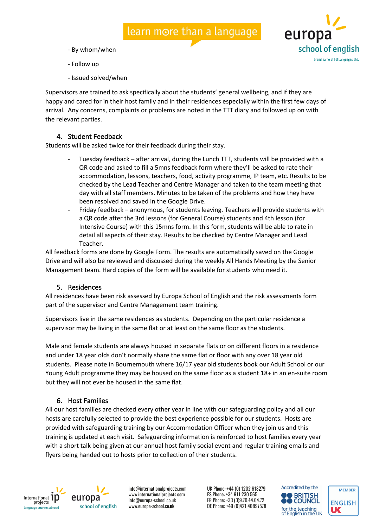- By whom/when
- Follow up
- Issued solved/when

Supervisors are trained to ask specifically about the students' general wellbeing, and if they are happy and cared for in their host family and in their residences especially within the first few days of arrival. Any concerns, complaints or problems are noted in the TTT diary and followed up on with the relevant parties.

### 4. Student Feedback

Students will be asked twice for their feedback during their stay.

- Tuesday feedback after arrival, during the Lunch TTT, students will be provided with a QR code and asked to fill a 5mns feedback form where they'll be asked to rate their accommodation, lessons, teachers, food, activity programme, IP team, etc. Results to be checked by the Lead Teacher and Centre Manager and taken to the team meeting that day with all staff members. Minutes to be taken of the problems and how they have been resolved and saved in the Google Drive.
- Friday feedback anonymous, for students leaving. Teachers will provide students with a QR code after the 3rd lessons (for General Course) students and 4th lesson (for Intensive Course) with this 15mns form. In this form, students will be able to rate in detail all aspects of their stay. Results to be checked by Centre Manager and Lead Teacher.

All feedback forms are done by Google Form. The results are automatically saved on the Google Drive and will also be reviewed and discussed during the weekly All Hands Meeting by the Senior Management team. Hard copies of the form will be available for students who need it.

#### 5. Residences

All residences have been risk assessed by Europa School of English and the risk assessments form part of the supervisor and Centre Management team training.

Supervisors live in the same residences as students. Depending on the particular residence a supervisor may be living in the same flat or at least on the same floor as the students.

Male and female students are always housed in separate flats or on different floors in a residence and under 18 year olds don't normally share the same flat or floor with any over 18 year old students. Please note in Bournemouth where 16/17 year old students book our Adult School or our Young Adult programme they may be housed on the same floor as a student 18+ in an en-suite room but they will not ever be housed in the same flat.

### 6. Host Families

All our host families are checked every other year in line with our safeguarding policy and all our hosts are carefully selected to provide the best experience possible for our students. Hosts are provided with safeguarding training by our Accommodation Officer when they join us and this training is updated at each visit. Safeguarding information is reinforced to host families every year with a short talk being given at our annual host family social event and regular training emails and flyers being handed out to hosts prior to collection of their students.



school of english

info@internationalprojects.com www.internationalprojects.com info@europa-school.co.uk www.europa-school.co.uk

UK Phone: +44 (0) 1202 618279 ES Phone: +34 911 230 565 FR Phone: +33 (0)9.70.44.04.72 DE Phone: +49 (0)421 40897578



euror

school of english **brand name of FG Languages Ltd** 

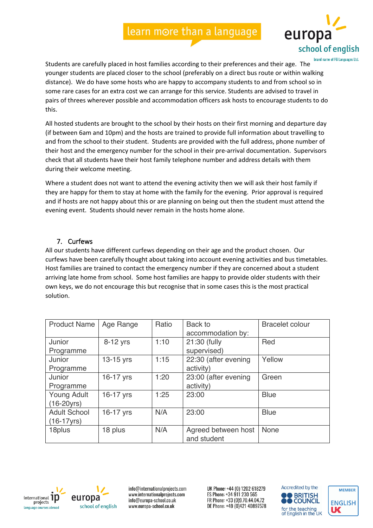

Students are carefully placed in host families according to their preferences and their age. The younger students are placed closer to the school (preferably on a direct bus route or within walking distance). We do have some hosts who are happy to accompany students to and from school so in some rare cases for an extra cost we can arrange for this service. Students are advised to travel in pairs of threes wherever possible and accommodation officers ask hosts to encourage students to do this.

All hosted students are brought to the school by their hosts on their first morning and departure day (if between 6am and 10pm) and the hosts are trained to provide full information about travelling to and from the school to their student. Students are provided with the full address, phone number of their host and the emergency number for the school in their pre-arrival documentation. Supervisors check that all students have their host family telephone number and address details with them during their welcome meeting.

Where a student does not want to attend the evening activity then we will ask their host family if they are happy for them to stay at home with the family for the evening. Prior approval is required and if hosts are not happy about this or are planning on being out then the student must attend the evening event. Students should never remain in the hosts home alone.

## 7. Curfews

All our students have different curfews depending on their age and the product chosen. Our curfews have been carefully thought about taking into account evening activities and bus timetables. Host families are trained to contact the emergency number if they are concerned about a student arriving late home from school. Some host families are happy to provide older students with their own keys, we do not encourage this but recognise that in some cases this is the most practical solution.

| <b>Product Name</b>                   | Age Range | Ratio | Back to<br>accommodation by:       | <b>Bracelet colour</b> |
|---------------------------------------|-----------|-------|------------------------------------|------------------------|
| Junior<br>Programme                   | 8-12 yrs  | 1:10  | 21:30 (fully<br>supervised)        | Red                    |
| Junior<br>Programme                   | 13-15 yrs | 1:15  | 22:30 (after evening<br>activity)  | Yellow                 |
| Junior<br>Programme                   | 16-17 yrs | 1:20  | 23:00 (after evening<br>activity)  | Green                  |
| Young Adult<br>$(16-20yrs)$           | 16-17 yrs | 1:25  | 23:00                              | <b>Blue</b>            |
| <b>Adult School</b><br>$(16-17)$ yrs) | 16-17 yrs | N/A   | 23:00                              | <b>Blue</b>            |
| 18plus                                | 18 plus   | N/A   | Agreed between host<br>and student | <b>None</b>            |



europa school of english

info@internationalprojects.com www.internationalprojects.com info@europa-school.co.uk www.europa-school.co.uk



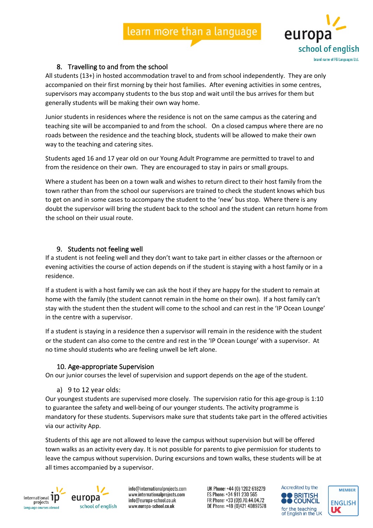

### 8. Travelling to and from the school

All students (13+) in hosted accommodation travel to and from school independently. They are only accompanied on their first morning by their host families. After evening activities in some centres, supervisors may accompany students to the bus stop and wait until the bus arrives for them but generally students will be making their own way home.

Junior students in residences where the residence is not on the same campus as the catering and teaching site will be accompanied to and from the school. On a closed campus where there are no roads between the residence and the teaching block, students will be allowed to make their own way to the teaching and catering sites.

Students aged 16 and 17 year old on our Young Adult Programme are permitted to travel to and from the residence on their own. They are encouraged to stay in pairs or small groups.

Where a student has been on a town walk and wishes to return direct to their host family from the town rather than from the school our supervisors are trained to check the student knows which bus to get on and in some cases to accompany the student to the 'new' bus stop. Where there is any doubt the supervisor will bring the student back to the school and the student can return home from the school on their usual route.

## 9. Students not feeling well

If a student is not feeling well and they don't want to take part in either classes or the afternoon or evening activities the course of action depends on if the student is staying with a host family or in a residence.

If a student is with a host family we can ask the host if they are happy for the student to remain at home with the family (the student cannot remain in the home on their own). If a host family can't stay with the student then the student will come to the school and can rest in the 'IP Ocean Lounge' in the centre with a supervisor.

If a student is staying in a residence then a supervisor will remain in the residence with the student or the student can also come to the centre and rest in the 'IP Ocean Lounge' with a supervisor. At no time should students who are feeling unwell be left alone.

### 10. Age-appropriate Supervision

On our junior courses the level of supervision and support depends on the age of the student.

#### a) 9 to 12 year olds:

Our youngest students are supervised more closely. The supervision ratio for this age-group is 1:10 to guarantee the safety and well-being of our younger students. The activity programme is mandatory for these students. Supervisors make sure that students take part in the offered activities via our activity App.

Students of this age are not allowed to leave the campus without supervision but will be offered town walks as an activity every day. It is not possible for parents to give permission for students to leave the campus without supervision. During excursions and town walks, these students will be at all times accompanied by a supervisor.



europa school of english

info@internationalprojects.com www.internationalprojects.com info@europa-school.co.uk www.europa-school.co.uk



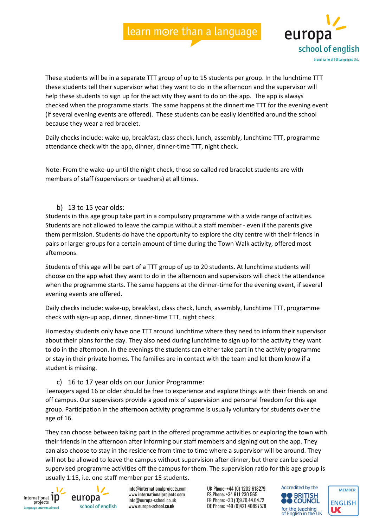

These students will be in a separate TTT group of up to 15 students per group. In the lunchtime TTT these students tell their supervisor what they want to do in the afternoon and the supervisor will help these students to sign up for the activity they want to do on the app. The app is always checked when the programme starts. The same happens at the dinnertime TTT for the evening event (if several evening events are offered). These students can be easily identified around the school because they wear a red bracelet.

Daily checks include: wake-up, breakfast, class check, lunch, assembly, lunchtime TTT, programme attendance check with the app, dinner, dinner-time TTT, night check.

Note: From the wake-up until the night check, those so called red bracelet students are with members of staff (supervisors or teachers) at all times.

b) 13 to 15 year olds:

Students in this age group take part in a compulsory programme with a wide range of activities. Students are not allowed to leave the campus without a staff member - even if the parents give them permission. Students do have the opportunity to explore the city centre with their friends in pairs or larger groups for a certain amount of time during the Town Walk activity, offered most afternoons.

Students of this age will be part of a TTT group of up to 20 students. At lunchtime students will choose on the app what they want to do in the afternoon and supervisors will check the attendance when the programme starts. The same happens at the dinner-time for the evening event, if several evening events are offered.

Daily checks include: wake-up, breakfast, class check, lunch, assembly, lunchtime TTT, programme check with sign-up app, dinner, dinner-time TTT, night check

Homestay students only have one TTT around lunchtime where they need to inform their supervisor about their plans for the day. They also need during lunchtime to sign up for the activity they want to do in the afternoon. In the evenings the students can either take part in the activity programme or stay in their private homes. The families are in contact with the team and let them know if a student is missing.

#### c) 16 to 17 year olds on our Junior Programme:

Teenagers aged 16 or older should be free to experience and explore things with their friends on and off campus. Our supervisors provide a good mix of supervision and personal freedom for this age group. Participation in the afternoon activity programme is usually voluntary for students over the age of 16.

They can choose between taking part in the offered programme activities or exploring the town with their friends in the afternoon after informing our staff members and signing out on the app. They can also choose to stay in the residence from time to time where a supervisor will be around. They will not be allowed to leave the campus without supervision after dinner, but there can be special supervised programme activities off the campus for them. The supervision ratio for this age group is usually 1:15, i.e. one staff member per 15 students.





info@internationalprojects.com www.internationalprojects.com info@europa-school.co.uk www.europa-school.co.uk



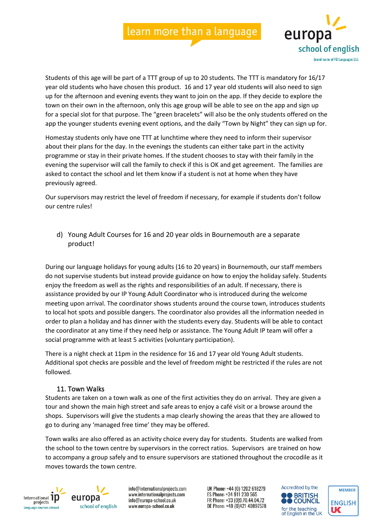

Students of this age will be part of a TTT group of up to 20 students. The TTT is mandatory for 16/17 year old students who have chosen this product. 16 and 17 year old students will also need to sign up for the afternoon and evening events they want to join on the app. If they decide to explore the town on their own in the afternoon, only this age group will be able to see on the app and sign up for a special slot for that purpose. The "green bracelets" will also be the only students offered on the app the younger students evening event options, and the daily "Town by Night" they can sign up for.

Homestay students only have one TTT at lunchtime where they need to inform their supervisor about their plans for the day. In the evenings the students can either take part in the activity programme or stay in their private homes. If the student chooses to stay with their family in the evening the supervisor will call the family to check if this is OK and get agreement. The families are asked to contact the school and let them know if a student is not at home when they have previously agreed.

Our supervisors may restrict the level of freedom if necessary, for example if students don't follow our centre rules!

d) Young Adult Courses for 16 and 20 year olds in Bournemouth are a separate product!

During our language holidays for young adults (16 to 20 years) in Bournemouth, our staff members do not supervise students but instead provide guidance on how to enjoy the holiday safely. Students enjoy the freedom as well as the rights and responsibilities of an adult. If necessary, there is assistance provided by our IP Young Adult Coordinator who is introduced during the welcome meeting upon arrival. The coordinator shows students around the course town, introduces students to local hot spots and possible dangers. The coordinator also provides all the information needed in order to plan a holiday and has dinner with the students every day. Students will be able to contact the coordinator at any time if they need help or assistance. The Young Adult IP team will offer a social programme with at least 5 activities (voluntary participation).

There is a night check at 11pm in the residence for 16 and 17 year old Young Adult students. Additional spot checks are possible and the level of freedom might be restricted if the rules are not followed.

#### 11. Town Walks

Students are taken on a town walk as one of the first activities they do on arrival. They are given a tour and shown the main high street and safe areas to enjoy a café visit or a browse around the shops. Supervisors will give the students a map clearly showing the areas that they are allowed to go to during any 'managed free time' they may be offered.

Town walks are also offered as an activity choice every day for students. Students are walked from the school to the town centre by supervisors in the correct ratios. Supervisors are trained on how to accompany a group safely and to ensure supervisors are stationed throughout the crocodile as it moves towards the town centre.



europa school of english

info@internationalprojects.com www.internationalprojects.com info@europa-school.co.uk www.europa-school.co.uk



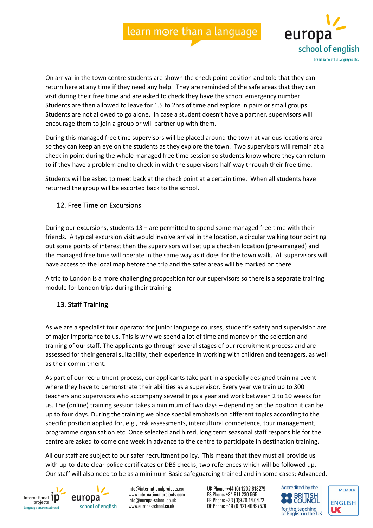

On arrival in the town centre students are shown the check point position and told that they can return here at any time if they need any help. They are reminded of the safe areas that they can visit during their free time and are asked to check they have the school emergency number. Students are then allowed to leave for 1.5 to 2hrs of time and explore in pairs or small groups. Students are not allowed to go alone. In case a student doesn't have a partner, supervisors will encourage them to join a group or will partner up with them.

During this managed free time supervisors will be placed around the town at various locations area so they can keep an eye on the students as they explore the town. Two supervisors will remain at a check in point during the whole managed free time session so students know where they can return to if they have a problem and to check-in with the supervisors half-way through their free time.

Students will be asked to meet back at the check point at a certain time. When all students have returned the group will be escorted back to the school.

### 12. Free Time on Excursions

During our excursions, students 13 + are permitted to spend some managed free time with their friends. A typical excursion visit would involve arrival in the location, a circular walking tour pointing out some points of interest then the supervisors will set up a check-in location (pre-arranged) and the managed free time will operate in the same way as it does for the town walk. All supervisors will have access to the local map before the trip and the safer areas will be marked on there.

A trip to London is a more challenging proposition for our supervisors so there is a separate training module for London trips during their training.

### 13. Staff Training

As we are a specialist tour operator for junior language courses, student's safety and supervision are of major importance to us. This is why we spend a lot of time and money on the selection and training of our staff. The applicants go through several stages of our recruitment process and are assessed for their general suitability, their experience in working with children and teenagers, as well as their commitment.

As part of our recruitment process, our applicants take part in a specially designed training event where they have to demonstrate their abilities as a supervisor. Every year we train up to 300 teachers and supervisors who accompany several trips a year and work between 2 to 10 weeks for us. The (online) training session takes a minimum of two days – depending on the position it can be up to four days. During the training we place special emphasis on different topics according to the specific position applied for, e.g., risk assessments, intercultural competence, tour management, programme organisation etc. Once selected and hired, long term seasonal staff responsible for the centre are asked to come one week in advance to the centre to participate in destination training.

All our staff are subject to our safer recruitment policy. This means that they must all provide us with up-to-date clear police certificates or DBS checks, two references which will be followed up. Our staff will also need to be as a minimum Basic safeguarding trained and in some cases; Advanced.



europa school of english

info@internationalprojects.com www.internationalprojects.com info@europa-school.co.uk www.europa-school.co.uk



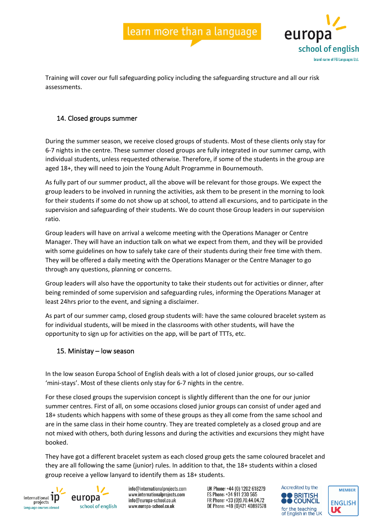

Training will cover our full safeguarding policy including the safeguarding structure and all our risk assessments.

## 14. Closed groups summer

During the summer season, we receive closed groups of students. Most of these clients only stay for 6-7 nights in the centre. These summer closed groups are fully integrated in our summer camp, with individual students, unless requested otherwise. Therefore, if some of the students in the group are aged 18+, they will need to join the Young Adult Programme in Bournemouth.

As fully part of our summer product, all the above will be relevant for those groups. We expect the group leaders to be involved in running the activities, ask them to be present in the morning to look for their students if some do not show up at school, to attend all excursions, and to participate in the supervision and safeguarding of their students. We do count those Group leaders in our supervision ratio.

Group leaders will have on arrival a welcome meeting with the Operations Manager or Centre Manager. They will have an induction talk on what we expect from them, and they will be provided with some guidelines on how to safely take care of their students during their free time with them. They will be offered a daily meeting with the Operations Manager or the Centre Manager to go through any questions, planning or concerns.

Group leaders will also have the opportunity to take their students out for activities or dinner, after being reminded of some supervision and safeguarding rules, informing the Operations Manager at least 24hrs prior to the event, and signing a disclaimer.

As part of our summer camp, closed group students will: have the same coloured bracelet system as for individual students, will be mixed in the classrooms with other students, will have the opportunity to sign up for activities on the app, will be part of TTTs, etc.

### 15. Ministay – low season

In the low season Europa School of English deals with a lot of closed junior groups, our so-called 'mini-stays'. Most of these clients only stay for 6-7 nights in the centre.

For these closed groups the supervision concept is slightly different than the one for our junior summer centres. First of all, on some occasions closed junior groups can consist of under aged and 18+ students which happens with some of these groups as they all come from the same school and are in the same class in their home country. They are treated completely as a closed group and are not mixed with others, both during lessons and during the activities and excursions they might have booked.

They have got a different bracelet system as each closed group gets the same coloured bracelet and they are all following the same (junior) rules. In addition to that, the 18+ students within a closed group receive a yellow lanyard to identify them as 18+ students.



europa school of english

info@internationalprojects.com www.internationalprojects.com info@europa-school.co.uk www.europa-school.co.uk



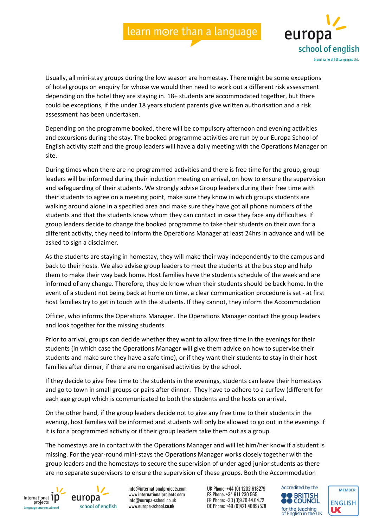

Usually, all mini-stay groups during the low season are homestay. There might be some exceptions of hotel groups on enquiry for whose we would then need to work out a different risk assessment depending on the hotel they are staying in. 18+ students are accommodated together, but there could be exceptions, if the under 18 years student parents give written authorisation and a risk assessment has been undertaken.

Depending on the programme booked, there will be compulsory afternoon and evening activities and excursions during the stay. The booked programme activities are run by our Europa School of English activity staff and the group leaders will have a daily meeting with the Operations Manager on site.

During times when there are no programmed activities and there is free time for the group, group leaders will be informed during their induction meeting on arrival, on how to ensure the supervision and safeguarding of their students. We strongly advise Group leaders during their free time with their students to agree on a meeting point, make sure they know in which groups students are walking around alone in a specified area and make sure they have got all phone numbers of the students and that the students know whom they can contact in case they face any difficulties. If group leaders decide to change the booked programme to take their students on their own for a different activity, they need to inform the Operations Manager at least 24hrs in advance and will be asked to sign a disclaimer.

As the students are staying in homestay, they will make their way independently to the campus and back to their hosts. We also advise group leaders to meet the students at the bus stop and help them to make their way back home. Host families have the students schedule of the week and are informed of any change. Therefore, they do know when their students should be back home. In the event of a student not being back at home on time, a clear communication procedure is set - at first host families try to get in touch with the students. If they cannot, they inform the Accommodation

Officer, who informs the Operations Manager. The Operations Manager contact the group leaders and look together for the missing students.

Prior to arrival, groups can decide whether they want to allow free time in the evenings for their students (in which case the Operations Manager will give them advice on how to supervise their students and make sure they have a safe time), or if they want their students to stay in their host families after dinner, if there are no organised activities by the school.

If they decide to give free time to the students in the evenings, students can leave their homestays and go to town in small groups or pairs after dinner. They have to adhere to a curfew (different for each age group) which is communicated to both the students and the hosts on arrival.

On the other hand, if the group leaders decide not to give any free time to their students in the evening, host families will be informed and students will only be allowed to go out in the evenings if it is for a programmed activity or if their group leaders take them out as a group.

The homestays are in contact with the Operations Manager and will let him/her know if a student is missing. For the year-round mini-stays the Operations Manager works closely together with the group leaders and the homestays to secure the supervision of under aged junior students as there are no separate supervisors to ensure the supervision of these groups. Both the Accommodation





info@internationalprojects.com www.internationalprojects.com info@europa-school.co.uk www.europa-school.co.uk